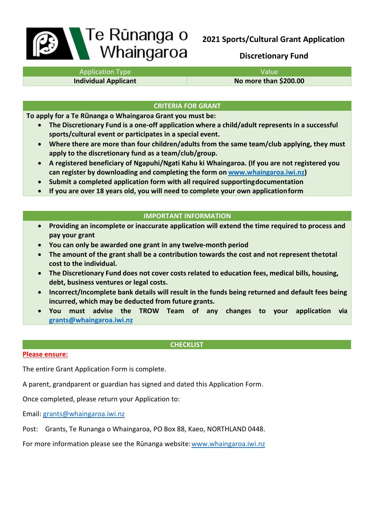# Te Rūnanga o Whaingaroa

# **2021 Sports/Cultural Grant Application**

# **Discretionary Fund**

Application Type Value

**Individual Applicant No more than \$200.00** 

# **CRITERIA FOR GRANT**

**To apply for a Te Rūnanga o Whaingaroa Grant you must be:**

- **The Discretionary Fund is a one-off application where a child/adult represents in a successful sports/cultural event or participates in a special event.**
- **Where there are more than four children/adults from the same team/club applying, they must apply to the discretionary fund as a team/club/group.**
- **A registered beneficiary of Ngapuhi/Ngati Kahu ki Whaingaroa. (If you are not registered you can register by downloading and completing the form on [www.whaingaroa.iwi.nz\)](http://www.whaingaroa.iwi.nz/)**
- **Submit a completed application form with all required supportingdocumentation**
- **If you are over 18 years old, you will need to complete your own applicationform**

# **IMPORTANT INFORMATION**

- **Providing an incomplete or inaccurate application will extend the time required to process and pay your grant**
- **You can only be awarded one grant in any twelve-month period**
- **The amount of the grant shall be a contribution towards the cost and not represent thetotal cost to the individual.**
- **The Discretionary Fund does not cover costs related to education fees, medical bills, housing, debt, business ventures or legal costs.**
- **Incorrect/Incomplete bank details will result in the funds being returned and default fees being incurred, which may be deducted from future grants.**
- **You must advise the TROW Team of any changes to your application vi[a](mailto:grants@whaingaroa.iwi.nz) [grants@whaingaroa.iwi.nz](mailto:grants@whaingaroa.iwi.nz)**

## **CHECKLIST**

## **Please ensure:**

The entire Grant Application Form is complete.

A parent, grandparent or guardian has signed and dated this Application Form.

Once completed, please return your Application to:

Email: [grants@whaingaroa.iwi.nz](mailto:grants@whaingaroa.iwi.nz)

Post: Grants, Te Runanga o Whaingaroa, PO Box 88, Kaeo, NORTHLAND 0448.

For more information please see the Rūnanga website: [www.whaingaroa.iwi.nz](http://www.whaingaroa.iwi.nz/)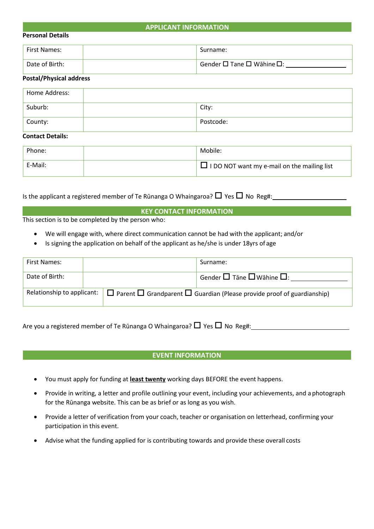#### **APPLICANT INFORMATION**

#### **Personal Details**

| <b>First Names:</b> | Surname:                                         |
|---------------------|--------------------------------------------------|
| Date of Birth:      | $\Box$ Gender $\Box$ Tane $\Box$ Wāhine $\Box$ : |

#### **Postal/Physical address**

| Home Address: |           |
|---------------|-----------|
| Suburb:       | City:     |
| County:       | Postcode: |

#### **Contact Details:**

| Phone:  | Mobile:                                            |
|---------|----------------------------------------------------|
| E-Mail: | $\Box$ I DO NOT want my e-mail on the mailing list |

Is the applicant a registered member of Te Rūnanga O Whaingaroa?  $\Box$  Yes  $\Box$  No Reg#:

# **KEY CONTACT INFORMATION**

This section is to be completed by the person who:

- We will engage with, where direct communication cannot be had with the applicant; and/or
- Is signing the application on behalf of the applicant as he/she is under 18yrs of age

| First Names:   |  |                                                                                                                    | Surname:                                           |
|----------------|--|--------------------------------------------------------------------------------------------------------------------|----------------------------------------------------|
| Date of Birth: |  |                                                                                                                    | Gender $\square$ Tāne $\square$ Wāhine $\square$ : |
|                |  | Relationship to applicant: $\Box$ Parent $\Box$ Grandparent $\Box$ Guardian (Please provide proof of guardianship) |                                                    |

Are you a registered member of Te Rūnanga O Whaingaroa?  $\Box$  Yes  $\Box$  No Reg#:

#### **EVENT INFORMATION**

- You must apply for funding at **least twenty** working days BEFORE the event happens.
- Provide in writing, a letter and profile outlining your event, including your achievements, and a photograph for the Rūnanga website. This can be as brief or as long as you wish.
- Provide a letter of verification from your coach, teacher or organisation on letterhead, confirming your participation in this event.
- Advise what the funding applied for is contributing towards and provide these overall costs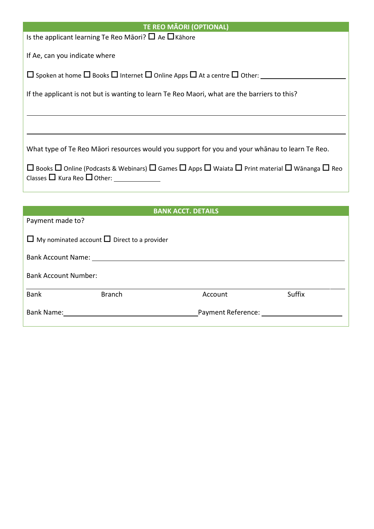| <b>TE REO MÃORI (OPTIONAL)</b>                                                                                                                                                   |
|----------------------------------------------------------------------------------------------------------------------------------------------------------------------------------|
| Is the applicant learning Te Reo Māori? $\Box$ Ae $\Box$ Kāhore                                                                                                                  |
| If Ae, can you indicate where                                                                                                                                                    |
| $\Box$ Spoken at home $\Box$ Books $\Box$ Internet $\Box$ Online Apps $\Box$ At a centre $\Box$ Other:                                                                           |
| If the applicant is not but is wanting to learn Te Reo Maori, what are the barriers to this?                                                                                     |
|                                                                                                                                                                                  |
|                                                                                                                                                                                  |
| What type of Te Reo Māori resources would you support for you and your whanau to learn Te Reo.                                                                                   |
| $\Box$ Books $\Box$ Online (Podcasts & Webinars) $\Box$ Games $\Box$ Apps $\Box$ Waiata $\Box$ Print material $\Box$ Wānanga $\Box$ Reo<br>Classes $\Box$ Kura Reo $\Box$ Other: |
|                                                                                                                                                                                  |

| <b>BANK ACCT. DETAILS</b>                                                                                       |               |                    |        |  |
|-----------------------------------------------------------------------------------------------------------------|---------------|--------------------|--------|--|
| Payment made to?                                                                                                |               |                    |        |  |
| $\Box$ My nominated account $\Box$ Direct to a provider                                                         |               |                    |        |  |
| Bank Account Name: 1988 and 2008 and 2008 and 2008 and 2008 and 2008 and 2008 and 2008 and 2008 and 2008 and 20 |               |                    |        |  |
| <b>Bank Account Number:</b>                                                                                     |               |                    |        |  |
| <b>Bank</b>                                                                                                     | <b>Branch</b> | Account            | Suffix |  |
| <b>Bank Name:</b>                                                                                               |               | Payment Reference: |        |  |